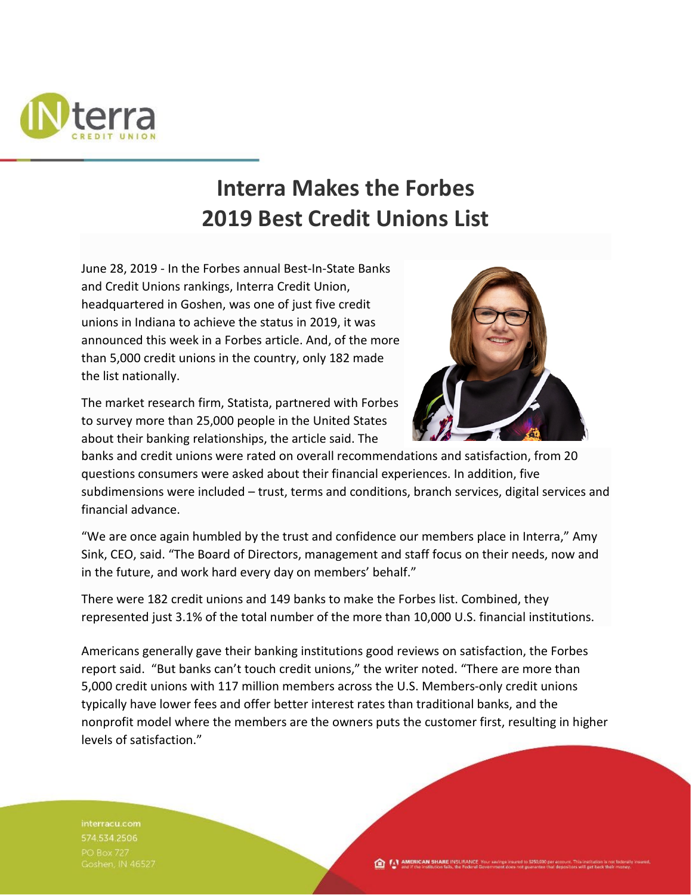

## **Interra Makes the Forbes 2019 Best Credit Unions List**

June 28, 2019 - In the Forbes annual Best-In-State Banks and Credit Unions rankings, Interra Credit Union, headquartered in Goshen, was one of just five credit unions in Indiana to achieve the status in 2019, it was announced this week in a Forbes article. And, of the more than 5,000 credit unions in the country, only 182 made the list nationally.

The market research firm, Statista, partnered with Forbes to survey more than 25,000 people in the United States about their banking relationships, the article said. The



banks and credit unions were rated on overall recommendations and satisfaction, from 20 questions consumers were asked about their financial experiences. In addition, five subdimensions were included – trust, terms and conditions, branch services, digital services and financial advance.

"We are once again humbled by the trust and confidence our members place in Interra," Amy Sink, CEO, said. "The Board of Directors, management and staff focus on their needs, now and in the future, and work hard every day on members' behalf."

There were 182 credit unions and 149 banks to make the Forbes list. Combined, they represented just 3.1% of the total number of the more than 10,000 U.S. financial institutions.

Americans generally gave their banking institutions good reviews on satisfaction, the Forbes report said. "But banks can't touch credit unions," the writer noted. "There are more than 5,000 credit unions with 117 million members across the U.S. Members-only credit unions typically have lower fees and offer better interest rates than traditional banks, and the nonprofit model where the members are the owners puts the customer first, resulting in higher levels of satisfaction."

interracu.com 574.534.2506